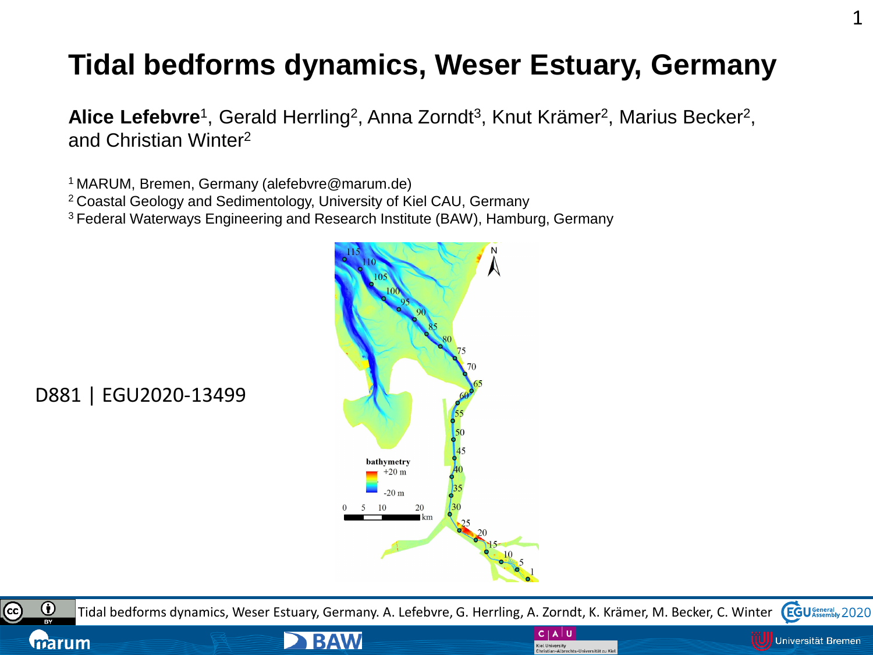# **Tidal bedforms dynamics, Weser Estuary, Germany**

Alice Lefebvre<sup>1</sup>, Gerald Herrling<sup>2</sup>, Anna Zorndt<sup>3</sup>, Knut Krämer<sup>2</sup>, Marius Becker<sup>2</sup>, and Christian Winter<sup>2</sup>

<sup>1</sup>MARUM, Bremen, Germany (alefebvre@marum.de)

<sup>2</sup>Coastal Geology and Sedimentology, University of Kiel CAU, Germany

<sup>3</sup>Federal Waterways Engineering and Research Institute (BAW), Hamburg, Germany

**BAW** 



D881 | EGU2020-13499

cc

marum



 $C | A |$ 

**Kiel University** 

Christian-Albrechts-Universität zu Kie

Universität Bremen

1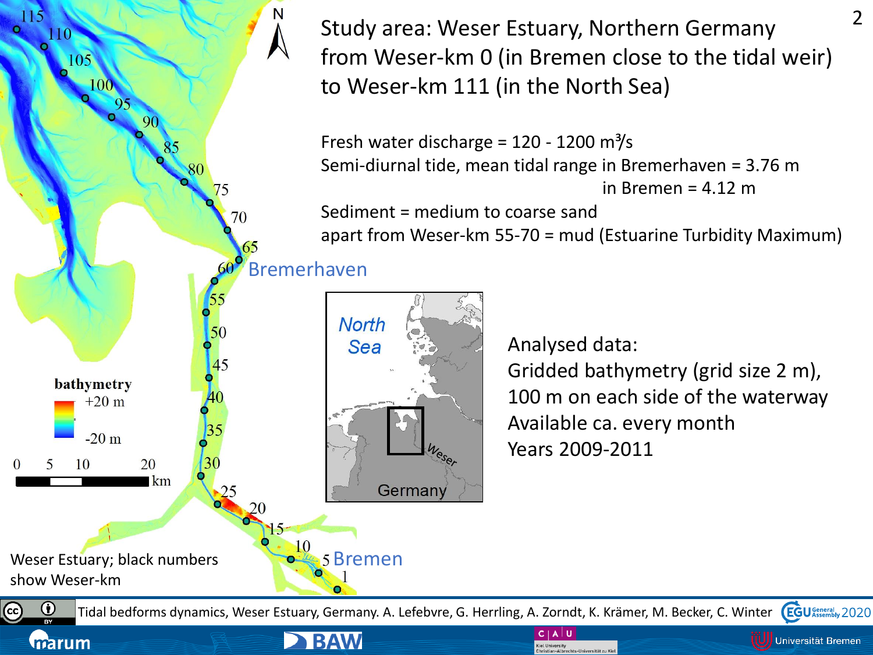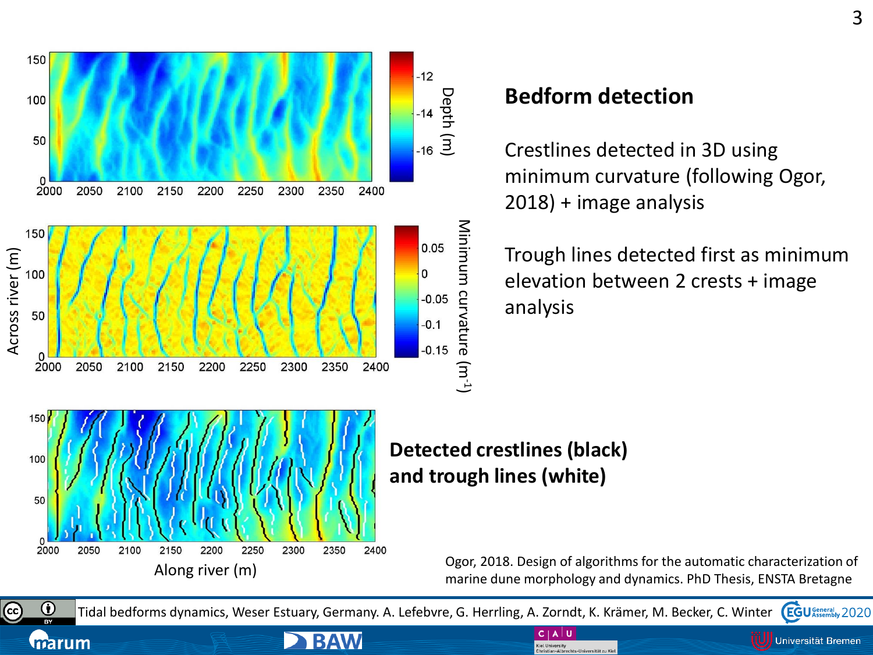

**CC** 

marum

## **Bedform detection**

Crestlines detected in 3D using minimum curvature (following Ogor, 2018) + image analysis

Trough lines detected first as minimum elevation between 2 crests + image analysis

**Detected crestlines (black) and trough lines (white)** 

 $C | A | U$ 

Christian-Albrechts-Universität zu Kiel

Kiel University

Ogor, 2018. Design of algorithms for the automatic characterization of marine dune morphology and dynamics. PhD Thesis, ENSTA Bretagne

 $\bf \odot$ Tidal bedforms dynamics, Weser Estuary, Germany. A. Lefebvre, G. Herrling, A. Zorndt, K. Krämer, M. Becker, C. Winter **BY** 

**BAW** 

**EGU** General 2020 Universität Bremen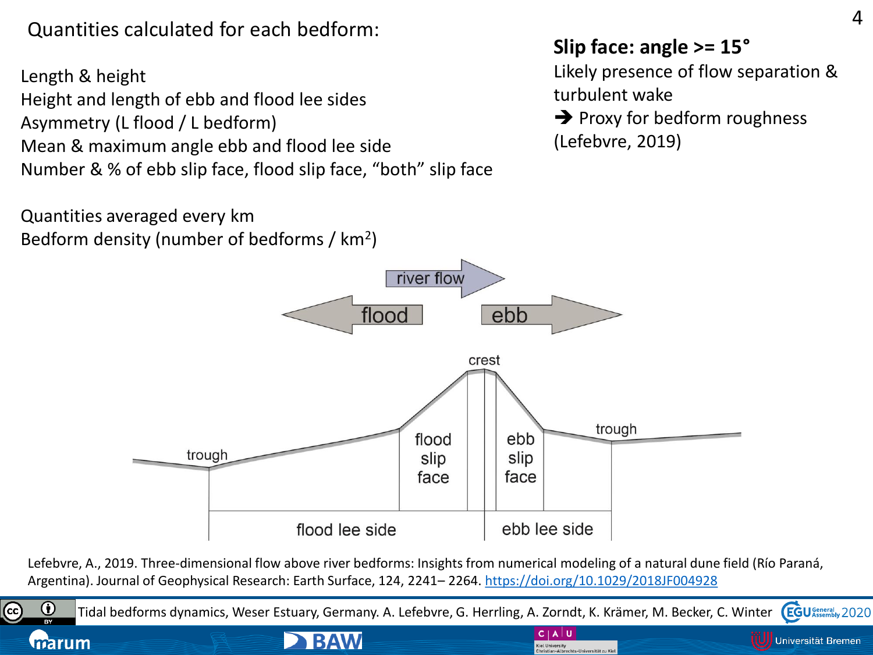Quantities calculated for each bedform:

Length & height Height and length of ebb and flood lee sides Asymmetry (L flood / L bedform) Mean & maximum angle ebb and flood lee side Number & % of ebb slip face, flood slip face, "both" slip face

Quantities averaged every km Bedform density (number of bedforms / km<sup>2</sup>)

### **Slip face: angle >= 15°**

Likely presence of flow separation & turbulent wake

**→** Proxy for bedform roughness (Lefebvre, 2019)



Lefebvre, A., 2019. Three-dimensional flow above river bedforms: Insights from numerical modeling of a natural dune field (Río Paraná, Argentina). Journal of Geophysical Research: Earth Surface, 124, 2241– 2264.<https://doi.org/10.1029/2018JF004928>

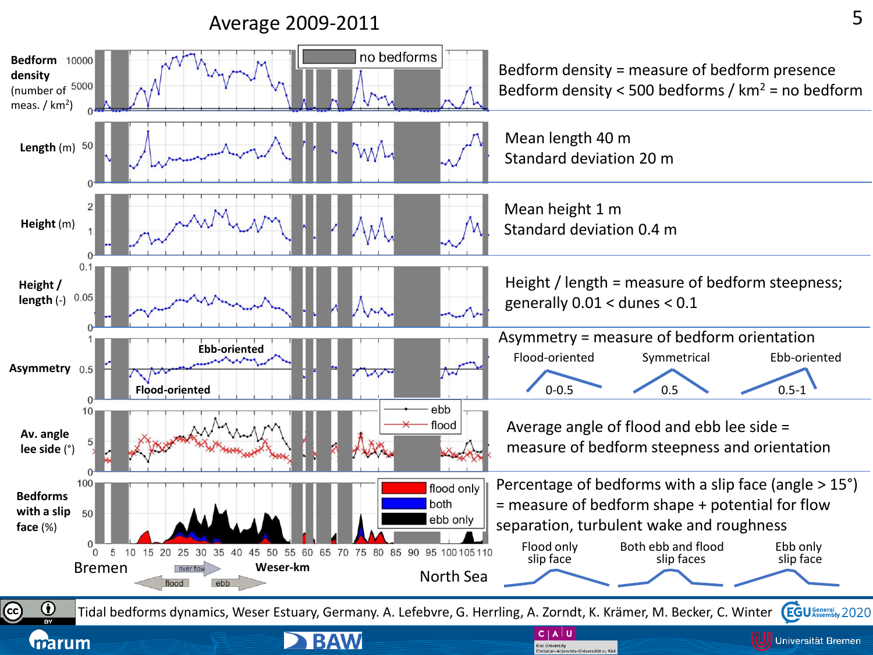#### Average 2009-2011

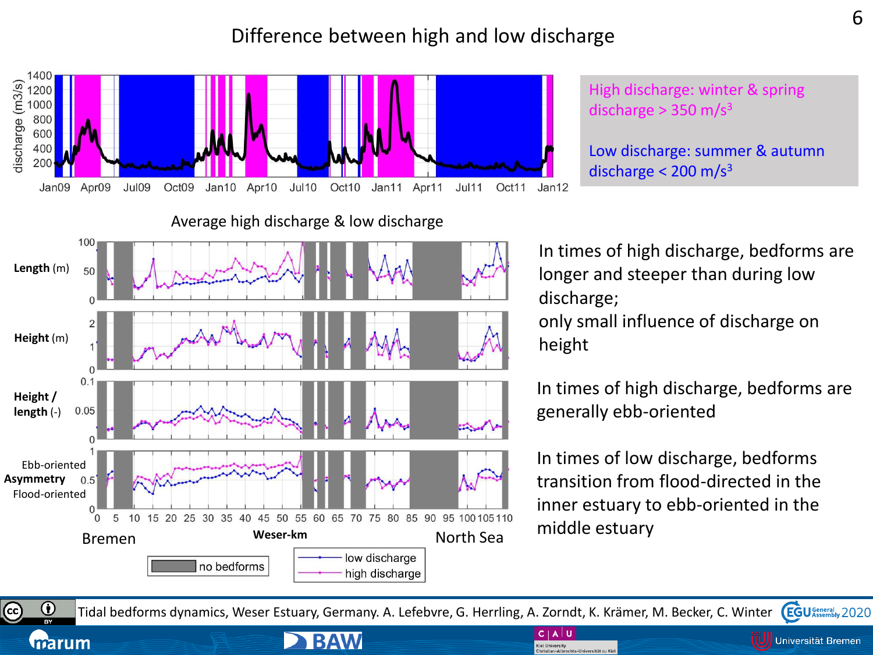#### Difference between high and low discharge



Average high discharge & low discharge

High discharge: winter & spring discharge  $> 350$  m/s<sup>3</sup>

Low discharge: summer & autumn discharge  $<$  200 m/s<sup>3</sup>



**BAW** 

marum

In times of high discharge, bedforms are longer and steeper than during low discharge; only small influence of discharge on height

In times of high discharge, bedforms are generally ebb-oriented

In times of low discharge, bedforms transition from flood-directed in the inner estuary to ebb-oriented in the middle estuary

 $\bf 0$ **EGU** General 2020 Tidal bedforms dynamics, Weser Estuary, Germany. A. Lefebvre, G. Herrling, A. Zorndt, K. Krämer, M. Becker, C. Winter

 $C | A | U$ 

**Kiel University** Christian-Albrechts-Universität zu Kie Universität Bremen